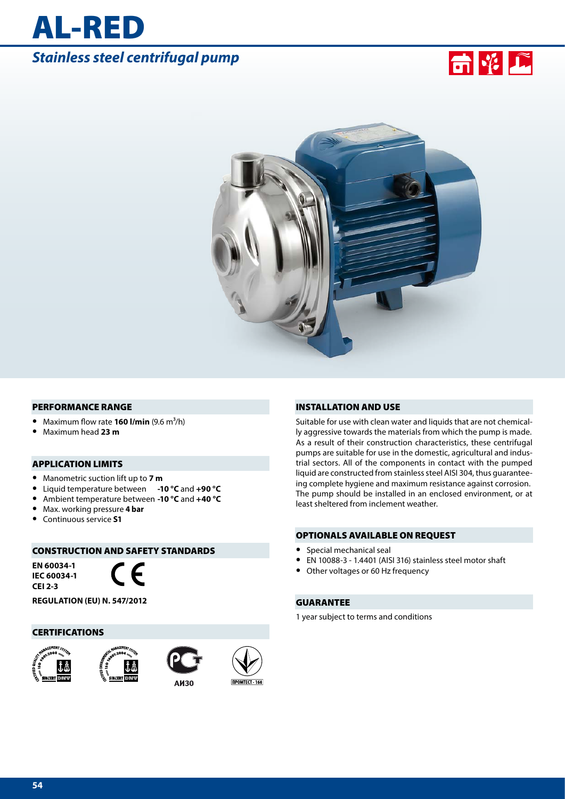# *Stainless steel centrifugal pump*

AL-RED





#### PERFORMANCE RANGE

- Maximum flow rate **160 l/min** (9.6 m<sup>3</sup>/h)
- **•** Maximum head **23 m**

#### APPLICATION LIMITS

- **•** Manometric suction lift up to **7 m**
- **•** Liquid temperature between **-10 °C** and **+90 °C**
- **•** Ambient temperature between **-10 °C** and **+40 °C**
- **•** Max. working pressure **4 bar**
- **•** Continuous service **S1**

# CONSTRUCTION AND SAFETY STANDARDS

**EN 60034-1 IEC 60034-1 CEI 2-3**



**REGULATION (EU) N. 547/2012**

#### **CERTIFICATIONS**









#### INSTALLATION AND USE

Suitable for use with clean water and liquids that are not chemically aggressive towards the materials from which the pump is made. As a result of their construction characteristics, these centrifugal pumps are suitable for use in the domestic, agricultural and industrial sectors. All of the components in contact with the pumped liquid are constructed from stainless steel AISI 304, thus guaranteeing complete hygiene and maximum resistance against corrosion. The pump should be installed in an enclosed environment, or at least sheltered from inclement weather.

#### OPTIONALS AVAILABLE ON REQUEST

- **•** Special mechanical seal
- **•** EN 10088-3 1.4401 (AISI 316) stainless steel motor shaft
- **•** Other voltages or 60 Hz frequency

#### GUARANTEE

1 year subject to terms and conditions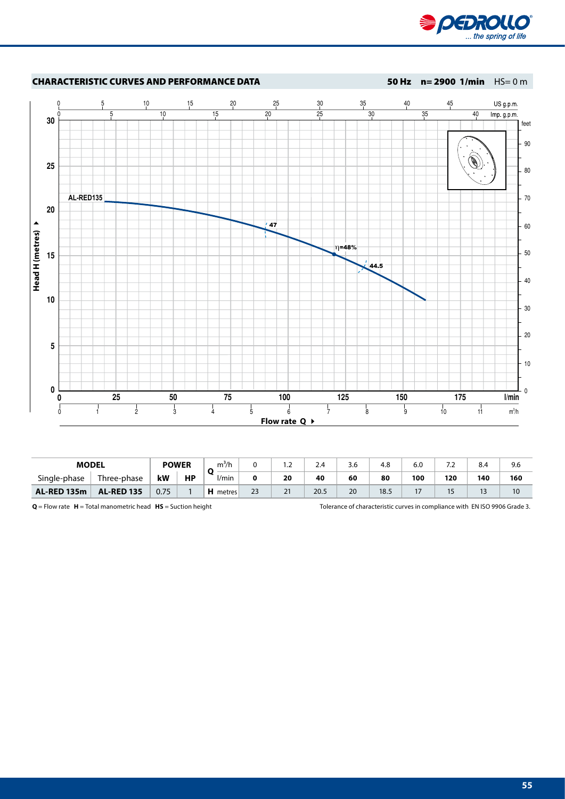



| <b>MODEL</b>       |                   | <b>POWER</b> |           | -37<br>m'/r<br>O          |    | $\sim$<br>$\overline{\phantom{a}}$ | <u>25</u> | $\sim$ $\sim$<br>3.6 | 4.8  | 6.0 | $\overline{\phantom{a}}$ | 8.4 | 9.6 |
|--------------------|-------------------|--------------|-----------|---------------------------|----|------------------------------------|-----------|----------------------|------|-----|--------------------------|-----|-----|
| Single-phase       | Three-phase       | kW           | <b>HP</b> | l/mir                     |    | 20                                 | 40        | 60                   | 80   | 100 | 120                      | 140 | 160 |
| <b>AL-RED 135m</b> | <b>AL-RED 135</b> | 0.75         |           | <b>ILE</b><br>metres<br>п | 23 | 21                                 | 20.5      | 20                   | 18.5 |     | ۔ ا                      | دا  | 10  |

**Q** = Flow rate **H** = Total manometric head **HS** = Suction height Tolerance of characteristic curves in compliance with EN ISO 9906 Grade 3.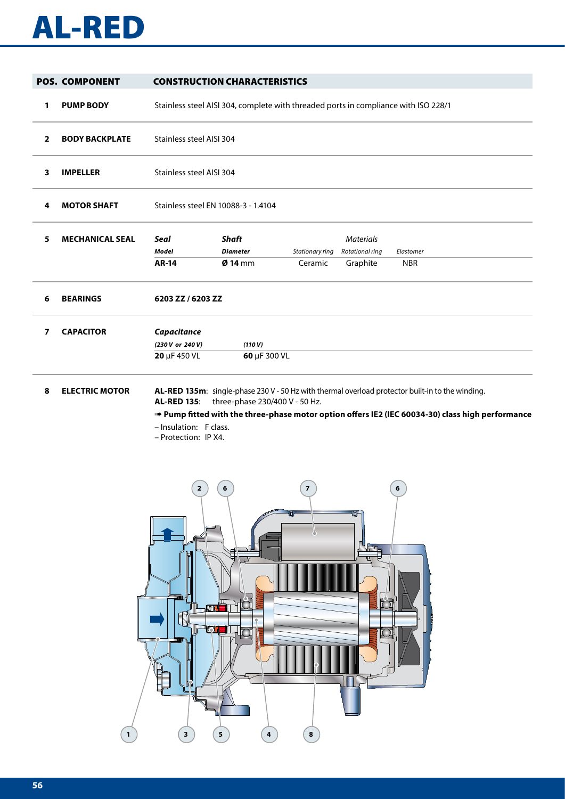# AL-RED

|   | <b>POS. COMPONENT</b>  |                                                                      | <b>CONSTRUCTION CHARACTERISTICS</b>                                                 |                 |                                     |                                                                                                                                                                                                    |
|---|------------------------|----------------------------------------------------------------------|-------------------------------------------------------------------------------------|-----------------|-------------------------------------|----------------------------------------------------------------------------------------------------------------------------------------------------------------------------------------------------|
| 1 | <b>PUMP BODY</b>       |                                                                      | Stainless steel AISI 304, complete with threaded ports in compliance with ISO 228/1 |                 |                                     |                                                                                                                                                                                                    |
| 2 | <b>BODY BACKPLATE</b>  | Stainless steel AISI 304                                             |                                                                                     |                 |                                     |                                                                                                                                                                                                    |
| 3 | <b>IMPELLER</b>        | Stainless steel AISI 304                                             |                                                                                     |                 |                                     |                                                                                                                                                                                                    |
| 4 | <b>MOTOR SHAFT</b>     | Stainless steel EN 10088-3 - 1.4104                                  |                                                                                     |                 |                                     |                                                                                                                                                                                                    |
| 5 | <b>MECHANICAL SEAL</b> | <b>Seal</b><br><b>Model</b>                                          | <b>Shaft</b><br><b>Diameter</b>                                                     | Stationary ring | <b>Materials</b><br>Rotational ring | Elastomer                                                                                                                                                                                          |
|   |                        | <b>AR-14</b>                                                         | $Ø$ 14 mm                                                                           | Ceramic         | Graphite                            | <b>NBR</b>                                                                                                                                                                                         |
| 6 | <b>BEARINGS</b>        | 6203 ZZ / 6203 ZZ                                                    |                                                                                     |                 |                                     |                                                                                                                                                                                                    |
| 7 | <b>CAPACITOR</b>       | Capacitance<br>(230 V or 240 V)<br>20 µF 450 VL                      | (110V)<br>60 µF 300 VL                                                              |                 |                                     |                                                                                                                                                                                                    |
| 8 | <b>ELECTRIC MOTOR</b>  | <b>AL-RED 135:</b><br>- Insulation: F class.<br>- Protection: IP X4. | three-phase 230/400 V - 50 Hz.                                                      |                 |                                     | AL-RED 135m: single-phase 230 V - 50 Hz with thermal overload protector built-in to the winding.<br>Pump fitted with the three-phase motor option offers IE2 (IEC 60034-30) class high performance |

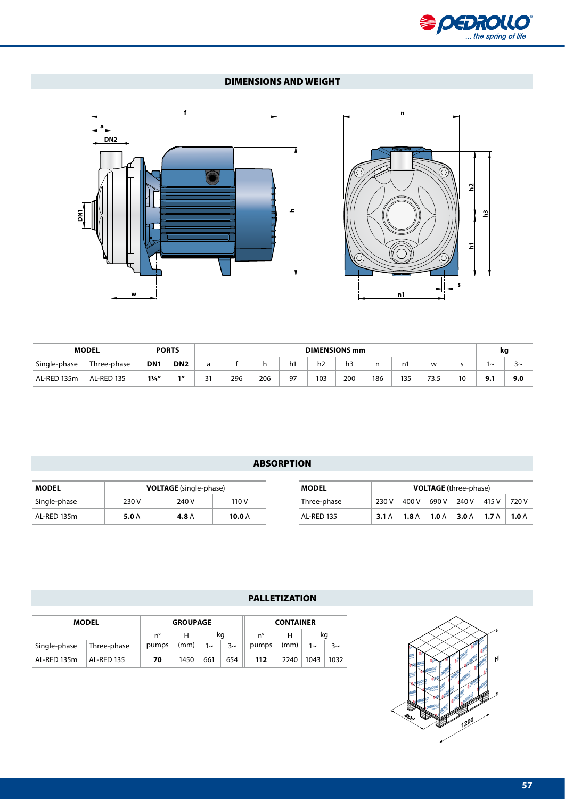

# DIMENSIONS AND WEIGHT





| <b>MODEL</b> |             |                 | <b>PORTS</b>    |           | <b>DIMENSIONS mm</b> |     |    |     |     | kg  |     |      |    |     |             |
|--------------|-------------|-----------------|-----------------|-----------|----------------------|-----|----|-----|-----|-----|-----|------|----|-----|-------------|
| Single-phase | Three-phase | DN <sub>1</sub> | DN <sub>2</sub> | a         |                      |     | h1 | h2  | h3  | n   | 'nì | w    |    | '~  | $\sim$<br>◡ |
| AL-RED 135m  | AL-RED 135  | $1\frac{1}{4}$  | 11              | 21<br>، ب | 296                  | 206 | 97 | 103 | 200 | 186 | 135 | 73.5 | 10 | 9.1 | 9.0         |

# ABSORPTION

| <b>MODEL</b> | <b>VOLTAGE</b> (single-phase) |       |          | <b>MODEL</b>      | <b>VOLTAGE</b> (three-phase) |      |       |       |       |       |
|--------------|-------------------------------|-------|----------|-------------------|------------------------------|------|-------|-------|-------|-------|
| Single-phase | 230 V                         | 240 V | 110 V    | Three-phase       | 230V                         | 400' | 690 V | 240 V | 415 V | 720 V |
| AL-RED 135m  | 5.0 A                         | 4.8 A | 10.0 $A$ | <b>AL-RED 135</b> | 3.1A                         | 1.8A | 1.0A  | 3.0A  | 1.7A  | 1.0A  |

# PALLETIZATION

| <b>MODEL</b> |                   | <b>GROUPAGE</b> |      |         | <b>CONTAINER</b> |       |      |            |         |  |
|--------------|-------------------|-----------------|------|---------|------------------|-------|------|------------|---------|--|
|              | n°                |                 | kq   |         | $n^{\circ}$      |       | kq   |            |         |  |
| Single-phase | Three-phase       | pumps           | (mm) | $1\sim$ | $3\sim$          | pumps | (mm) | $1_{\sim}$ | $3\sim$ |  |
| AL-RED 135m  | <b>AL-RED 135</b> | 70              | 1450 | 661     | 654              | 112   | 2240 | 1043       | 1032    |  |